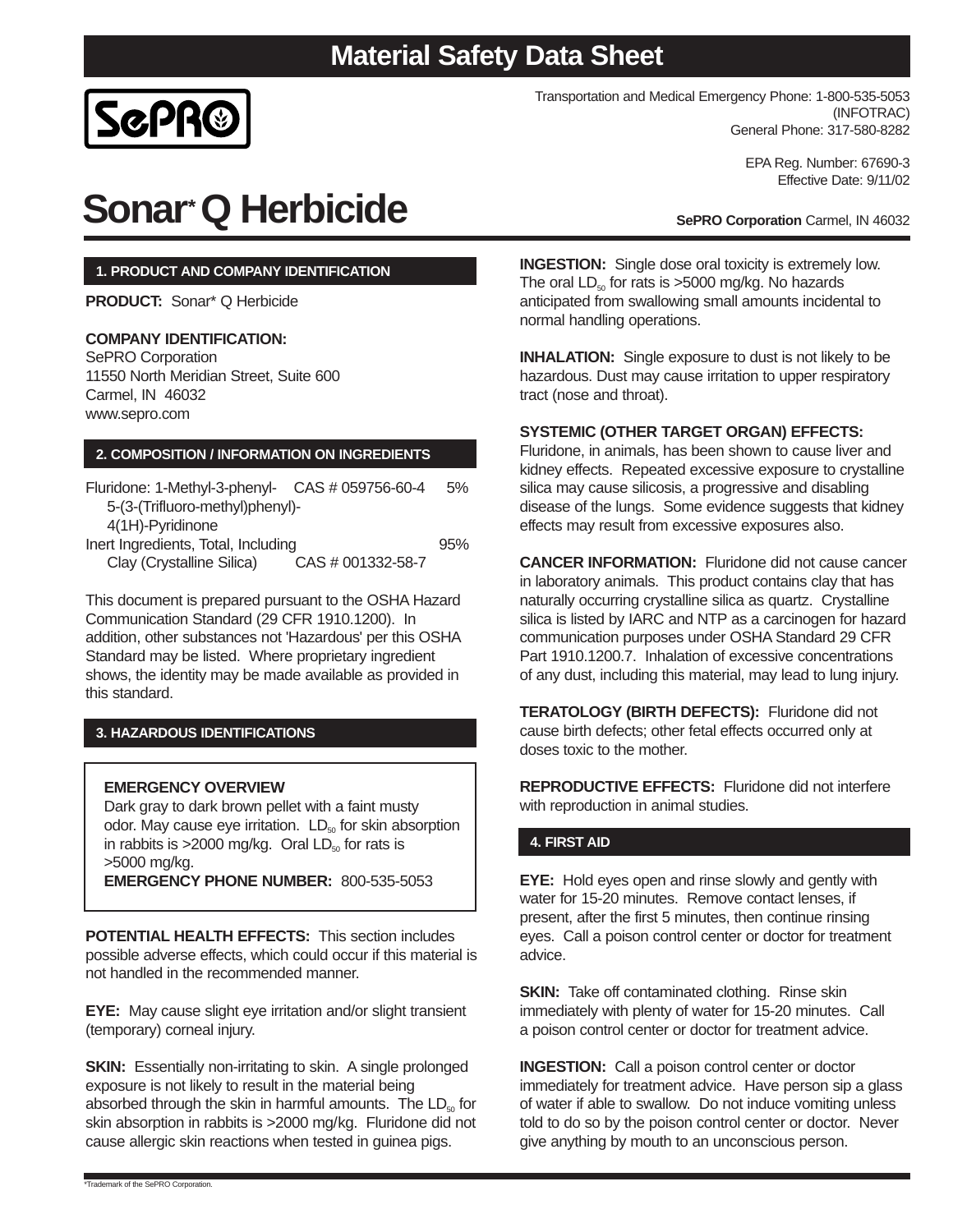

Transportation and Medical Emergency Phone: 1-800-535-5053 (INFOTRAC) General Phone: 317-580-8282

> EPA Reg. Number: 67690-3 Effective Date: 9/11/02

**SePRO Corporation** Carmel, IN 46032

**Sonar\*Q Herbicide**

# **1. PRODUCT AND COMPANY IDENTIFICATION**

**PRODUCT:** Sonar\* Q Herbicide

### **COMPANY IDENTIFICATION:**

SePRO Corporation 11550 North Meridian Street, Suite 600 Carmel, IN 46032 www.sepro.com

### **2. COMPOSITION / INFORMATION ON INGREDIENTS**

| Fluridone: 1-Methyl-3-phenyl- CAS # 059756-60-4 |                   | 5%  |
|-------------------------------------------------|-------------------|-----|
| 5-(3-(Trifluoro-methyl)phenyl)-                 |                   |     |
| 4(1H)-Pyridinone                                |                   |     |
| Inert Ingredients, Total, Including             |                   | 95% |
| Clay (Crystalline Silica)                       | CAS # 001332-58-7 |     |

This document is prepared pursuant to the OSHA Hazard Communication Standard (29 CFR 1910.1200). In addition, other substances not 'Hazardous' per this OSHA Standard may be listed. Where proprietary ingredient shows, the identity may be made available as provided in this standard.

# **3. HAZARDOUS IDENTIFICATIONS**

#### **EMERGENCY OVERVIEW**

Dark gray to dark brown pellet with a faint musty odor. May cause eye irritation.  $LD_{50}$  for skin absorption in rabbits is  $>2000$  mg/kg. Oral  $LD_{50}$  for rats is >5000 mg/kg. **EMERGENCY PHONE NUMBER:** 800-535-5053

**POTENTIAL HEALTH EFFECTS:** This section includes possible adverse effects, which could occur if this material is not handled in the recommended manner.

**EYE:** May cause slight eye irritation and/or slight transient (temporary) corneal injury.

**SKIN:** Essentially non-irritating to skin. A single prolonged exposure is not likely to result in the material being absorbed through the skin in harmful amounts. The  $LD_{50}$  for skin absorption in rabbits is >2000 mg/kg. Fluridone did not cause allergic skin reactions when tested in guinea pigs.

**INGESTION:** Single dose oral toxicity is extremely low. The oral  $LD_{50}$  for rats is >5000 mg/kg. No hazards anticipated from swallowing small amounts incidental to normal handling operations.

**INHALATION:** Single exposure to dust is not likely to be hazardous. Dust may cause irritation to upper respiratory tract (nose and throat).

#### **SYSTEMIC (OTHER TARGET ORGAN) EFFECTS:**

Fluridone, in animals, has been shown to cause liver and kidney effects. Repeated excessive exposure to crystalline silica may cause silicosis, a progressive and disabling disease of the lungs. Some evidence suggests that kidney effects may result from excessive exposures also.

**CANCER INFORMATION:** Fluridone did not cause cancer in laboratory animals. This product contains clay that has naturally occurring crystalline silica as quartz. Crystalline silica is listed by IARC and NTP as a carcinogen for hazard communication purposes under OSHA Standard 29 CFR Part 1910.1200.7. Inhalation of excessive concentrations of any dust, including this material, may lead to lung injury.

**TERATOLOGY (BIRTH DEFECTS):** Fluridone did not cause birth defects; other fetal effects occurred only at doses toxic to the mother.

**REPRODUCTIVE EFFECTS:** Fluridone did not interfere with reproduction in animal studies.

# **4. FIRST AID**

**EYE:** Hold eyes open and rinse slowly and gently with water for 15-20 minutes. Remove contact lenses, if present, after the first 5 minutes, then continue rinsing eyes. Call a poison control center or doctor for treatment advice.

**SKIN:** Take off contaminated clothing. Rinse skin immediately with plenty of water for 15-20 minutes. Call a poison control center or doctor for treatment advice.

**INGESTION:** Call a poison control center or doctor immediately for treatment advice. Have person sip a glass of water if able to swallow. Do not induce vomiting unless told to do so by the poison control center or doctor. Never give anything by mouth to an unconscious person.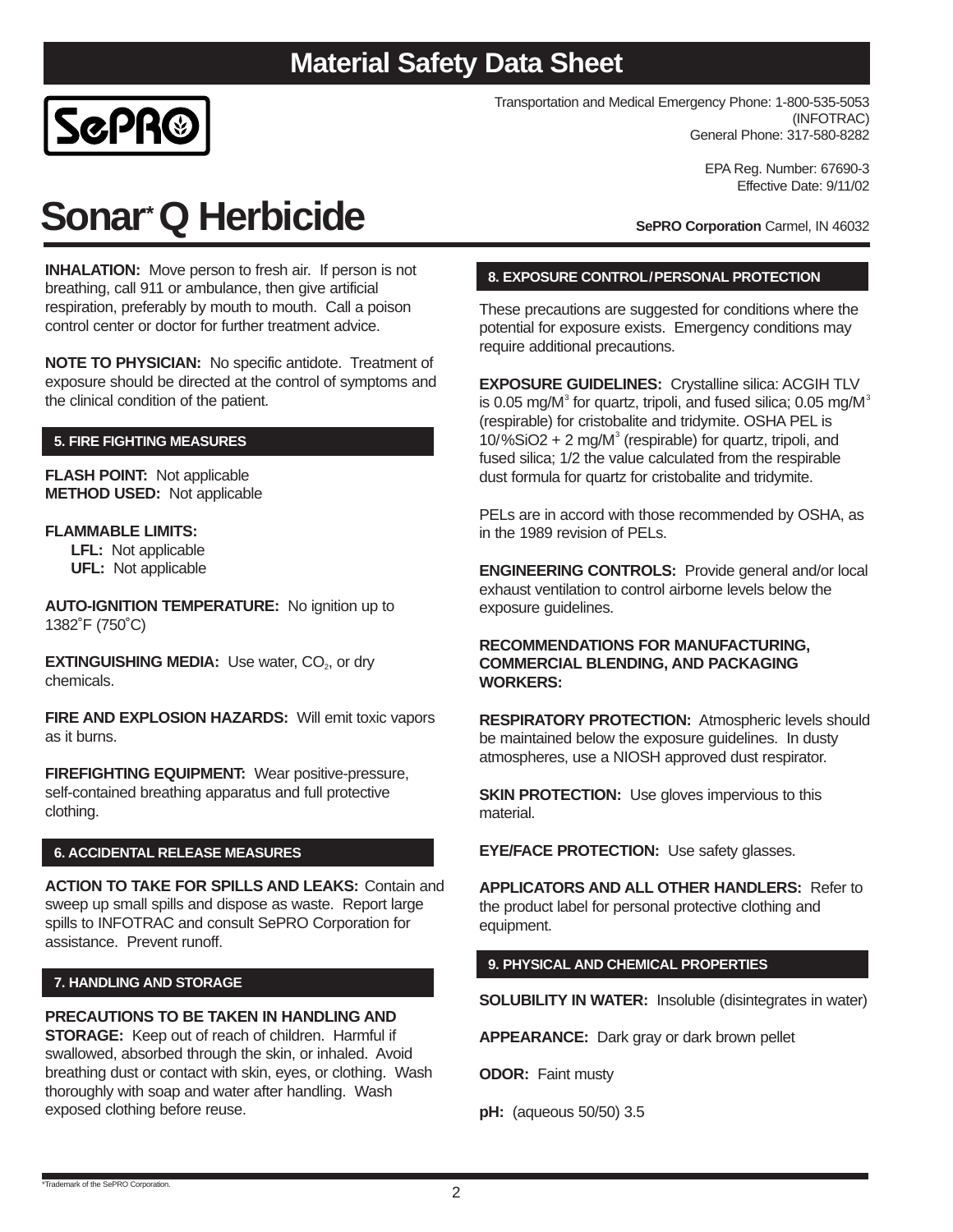

Transportation and Medical Emergency Phone: 1-800-535-5053 (INFOTRAC) General Phone: 317-580-8282

> EPA Reg. Number: 67690-3 Effective Date: 9/11/02

**Sonar\*Q Herbicide**

**INHALATION:** Move person to fresh air. If person is not breathing, call 911 or ambulance, then give artificial respiration, preferably by mouth to mouth. Call a poison control center or doctor for further treatment advice.

**NOTE TO PHYSICIAN:** No specific antidote. Treatment of exposure should be directed at the control of symptoms and the clinical condition of the patient.

# **5. FIRE FIGHTING MEASURES**

**FLASH POINT:** Not applicable **METHOD USED:** Not applicable

### **FLAMMABLE LIMITS:**

**LFL:** Not applicable **UFL:** Not applicable

**AUTO-IGNITION TEMPERATURE:** No ignition up to 1382˚F (750˚C)

**EXTINGUISHING MEDIA:** Use water, CO<sub>2</sub>, or dry chemicals.

**FIRE AND EXPLOSION HAZARDS:** Will emit toxic vapors as it burns.

**FIREFIGHTING EQUIPMENT:** Wear positive-pressure, self-contained breathing apparatus and full protective clothing.

#### **6. ACCIDENTAL RELEASE MEASURES**

**ACTION TO TAKE FOR SPILLS AND LEAKS:** Contain and sweep up small spills and dispose as waste. Report large spills to INFOTRAC and consult SePRO Corporation for assistance. Prevent runoff.

#### **7. HANDLING AND STORAGE**

#### **PRECAUTIONS TO BE TAKEN IN HANDLING AND**

**STORAGE:** Keep out of reach of children. Harmful if swallowed, absorbed through the skin, or inhaled. Avoid breathing dust or contact with skin, eyes, or clothing. Wash thoroughly with soap and water after handling. Wash exposed clothing before reuse.

**SePRO Corporation** Carmel, IN 46032

# **8. EXPOSURE CONTROL/PERSONAL PROTECTION**

These precautions are suggested for conditions where the potential for exposure exists. Emergency conditions may require additional precautions.

**EXPOSURE GUIDELINES:** Crystalline silica: ACGIH TLV is 0.05 mg/M $^3$  for quartz, tripoli, and fused silica; 0.05 mg/M $^3$ (respirable) for cristobalite and tridymite. OSHA PEL is  $10\%$ SiO2 + 2 mg/M<sup>3</sup> (respirable) for quartz, tripoli, and fused silica; 1/2 the value calculated from the respirable dust formula for quartz for cristobalite and tridymite.

PELs are in accord with those recommended by OSHA, as in the 1989 revision of PELs.

**ENGINEERING CONTROLS:** Provide general and/or local exhaust ventilation to control airborne levels below the exposure guidelines.

#### **RECOMMENDATIONS FOR MANUFACTURING, COMMERCIAL BLENDING, AND PACKAGING WORKERS:**

**RESPIRATORY PROTECTION:** Atmospheric levels should be maintained below the exposure guidelines. In dusty atmospheres, use a NIOSH approved dust respirator.

**SKIN PROTECTION:** Use gloves impervious to this material.

**EYE/FACE PROTECTION:** Use safety glasses.

**APPLICATORS AND ALL OTHER HANDLERS:** Refer to the product label for personal protective clothing and equipment.

# **9. PHYSICAL AND CHEMICAL PROPERTIES**

**SOLUBILITY IN WATER:** Insoluble (disintegrates in water)

**APPEARANCE:** Dark gray or dark brown pellet

**ODOR:** Faint musty

**pH:** (aqueous 50/50) 3.5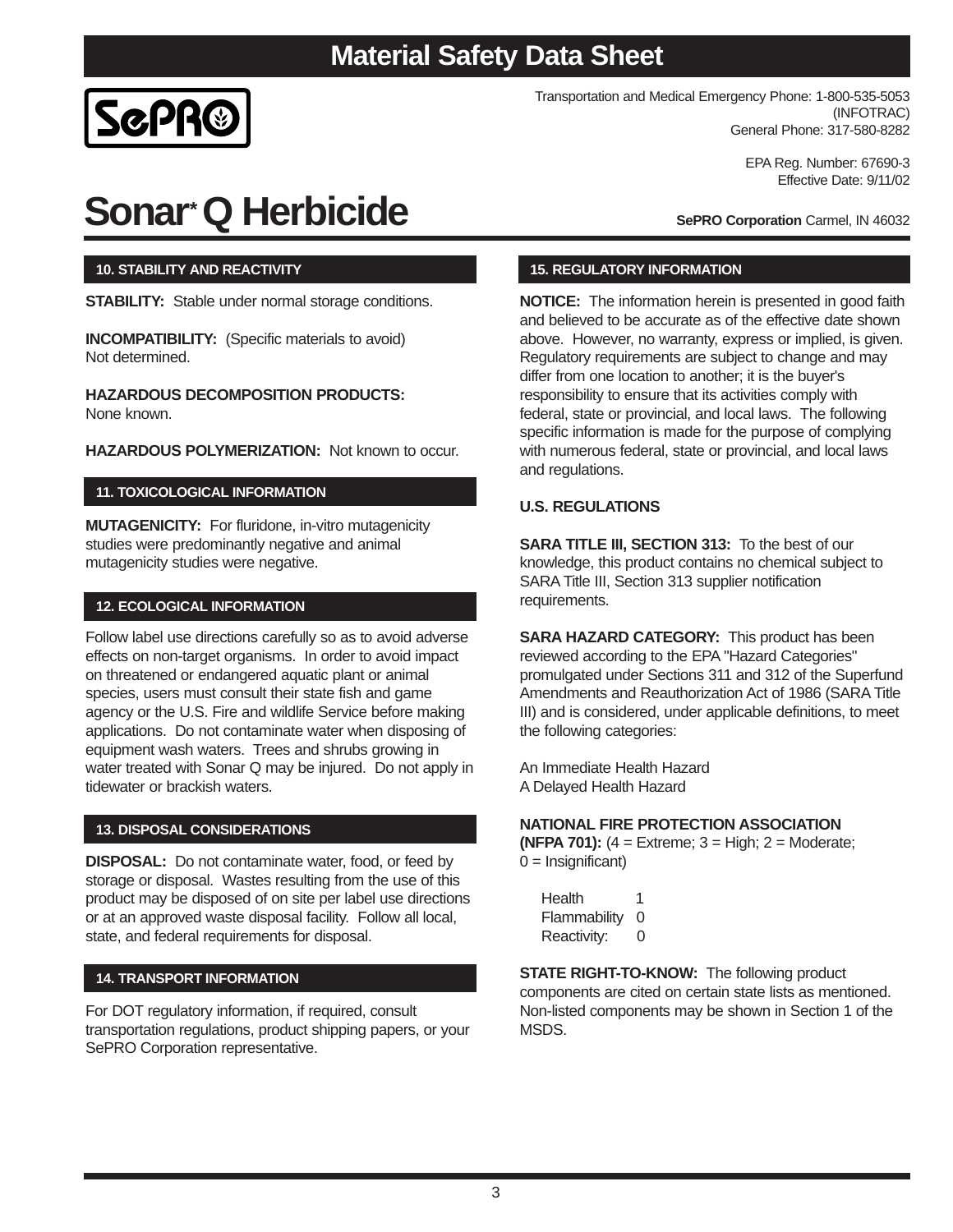

Transportation and Medical Emergency Phone: 1-800-535-5053 (INFOTRAC) General Phone: 317-580-8282

> EPA Reg. Number: 67690-3 Effective Date: 9/11/02

# **Sonar\*Q Herbicide**

**SePRO Corporation** Carmel, IN 46032

# **10. STABILITY AND REACTIVITY**

**STABILITY:** Stable under normal storage conditions.

**INCOMPATIBILITY:** (Specific materials to avoid) Not determined.

**HAZARDOUS DECOMPOSITION PRODUCTS:**  None known.

**HAZARDOUS POLYMERIZATION:** Not known to occur.

# **11. TOXICOLOGICAL INFORMATION**

**MUTAGENICITY:** For fluridone, in-vitro mutagenicity studies were predominantly negative and animal mutagenicity studies were negative.

### **12. ECOLOGICAL INFORMATION**

Follow label use directions carefully so as to avoid adverse effects on non-target organisms. In order to avoid impact on threatened or endangered aquatic plant or animal species, users must consult their state fish and game agency or the U.S. Fire and wildlife Service before making applications. Do not contaminate water when disposing of equipment wash waters. Trees and shrubs growing in water treated with Sonar Q may be injured. Do not apply in tidewater or brackish waters.

# **13. DISPOSAL CONSIDERATIONS**

**DISPOSAL:** Do not contaminate water, food, or feed by storage or disposal. Wastes resulting from the use of this product may be disposed of on site per label use directions or at an approved waste disposal facility. Follow all local, state, and federal requirements for disposal.

#### **14. TRANSPORT INFORMATION**

For DOT regulatory information, if required, consult transportation regulations, product shipping papers, or your SePRO Corporation representative.

### **15. REGULATORY INFORMATION**

**NOTICE:** The information herein is presented in good faith and believed to be accurate as of the effective date shown above. However, no warranty, express or implied, is given. Regulatory requirements are subject to change and may differ from one location to another; it is the buyer's responsibility to ensure that its activities comply with federal, state or provincial, and local laws. The following specific information is made for the purpose of complying with numerous federal, state or provincial, and local laws and regulations.

# **U.S. REGULATIONS**

**SARA TITLE III, SECTION 313:** To the best of our knowledge, this product contains no chemical subject to SARA Title III, Section 313 supplier notification requirements.

**SARA HAZARD CATEGORY:** This product has been reviewed according to the EPA "Hazard Categories" promulgated under Sections 311 and 312 of the Superfund Amendments and Reauthorization Act of 1986 (SARA Title III) and is considered, under applicable definitions, to meet the following categories:

An Immediate Health Hazard A Delayed Health Hazard

### **NATIONAL FIRE PROTECTION ASSOCIATION**

**(NFPA 701):** (4 = Extreme; 3 = High; 2 = Moderate;  $0 =$  Insignificant)

Health 1 Flammability 0 Reactivity: 0

**STATE RIGHT-TO-KNOW:** The following product components are cited on certain state lists as mentioned. Non-listed components may be shown in Section 1 of the MSDS.